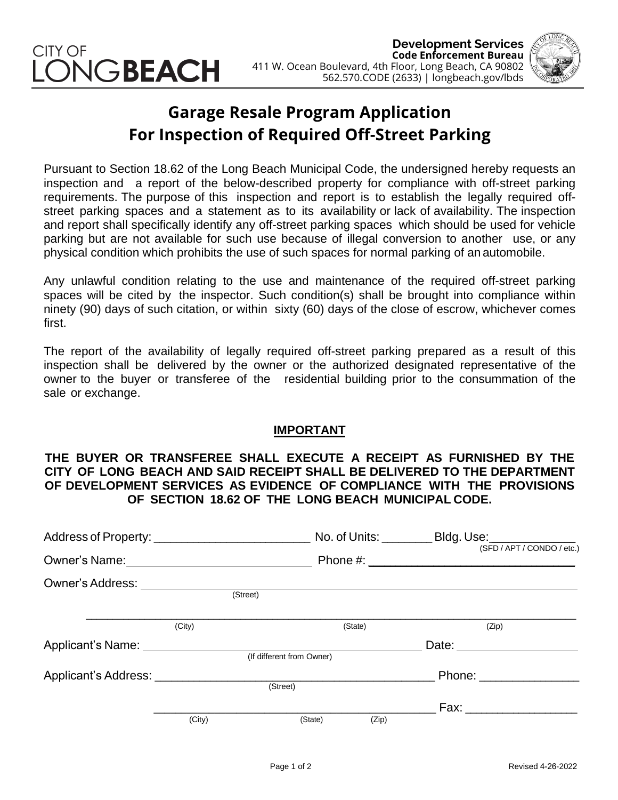



## **Garage Resale Program Application For Inspection of Required Off-Street Parking**

Pursuant to Section 18.62 of the Long Beach Municipal Code, the undersigned hereby requests an inspection and a report of the below-described property for compliance with off-street parking requirements. The purpose of this inspection and report is to establish the legally required offstreet parking spaces and a statement as to its availability or lack of availability. The inspection and report shall specifically identify any off-street parking spaces which should be used for vehicle parking but are not available for such use because of illegal conversion to another use, or any physical condition which prohibits the use of such spaces for normal parking of an automobile.

Any unlawful condition relating to the use and maintenance of the required off-street parking spaces will be cited by the inspector. Such condition(s) shall be brought into compliance within ninety (90) days of such citation, or within sixty (60) days of the close of escrow, whichever comes first.

The report of the availability of legally required off-street parking prepared as a result of this inspection shall be delivered by the owner or the authorized designated representative of the owner to the buyer or transferee of the residential building prior to the consummation of the sale or exchange.

## **IMPORTANT**

## **THE BUYER OR TRANSFEREE SHALL EXECUTE A RECEIPT AS FURNISHED BY THE CITY OF LONG BEACH AND SAID RECEIPT SHALL BE DELIVERED TO THE DEPARTMENT OF DEVELOPMENT SERVICES AS EVIDENCE OF COMPLIANCE WITH THE PROVISIONS OF SECTION 18.62 OF THE LONG BEACH MUNICIPAL CODE.**

|                                                                                                                                                                                                                                |          |                           | No. of Units: __________ Bldg. Use: ___________ |
|--------------------------------------------------------------------------------------------------------------------------------------------------------------------------------------------------------------------------------|----------|---------------------------|-------------------------------------------------|
| Owner's Name: \\contact \\contact \\contact \\contact \\contact \\contact \\contact \\contact \\contact \\contact \\contact \\contact \\contact \\contact \\contact \\contact \\contact \\contact \\contact \\contact \\contac |          |                           | (SFD / APT / CONDO / etc.)                      |
|                                                                                                                                                                                                                                |          |                           |                                                 |
|                                                                                                                                                                                                                                |          | (Street)                  |                                                 |
|                                                                                                                                                                                                                                | (City)   | (State)                   | (Zip)                                           |
| Applicant's Name: ________________                                                                                                                                                                                             |          |                           | Date: $\_\_$                                    |
|                                                                                                                                                                                                                                |          | (If different from Owner) |                                                 |
|                                                                                                                                                                                                                                |          |                           | Phone: ________________                         |
|                                                                                                                                                                                                                                | (Street) |                           |                                                 |
|                                                                                                                                                                                                                                |          |                           | Fax: ___________________                        |
|                                                                                                                                                                                                                                | (City)   | (State)<br>(Zip)          |                                                 |